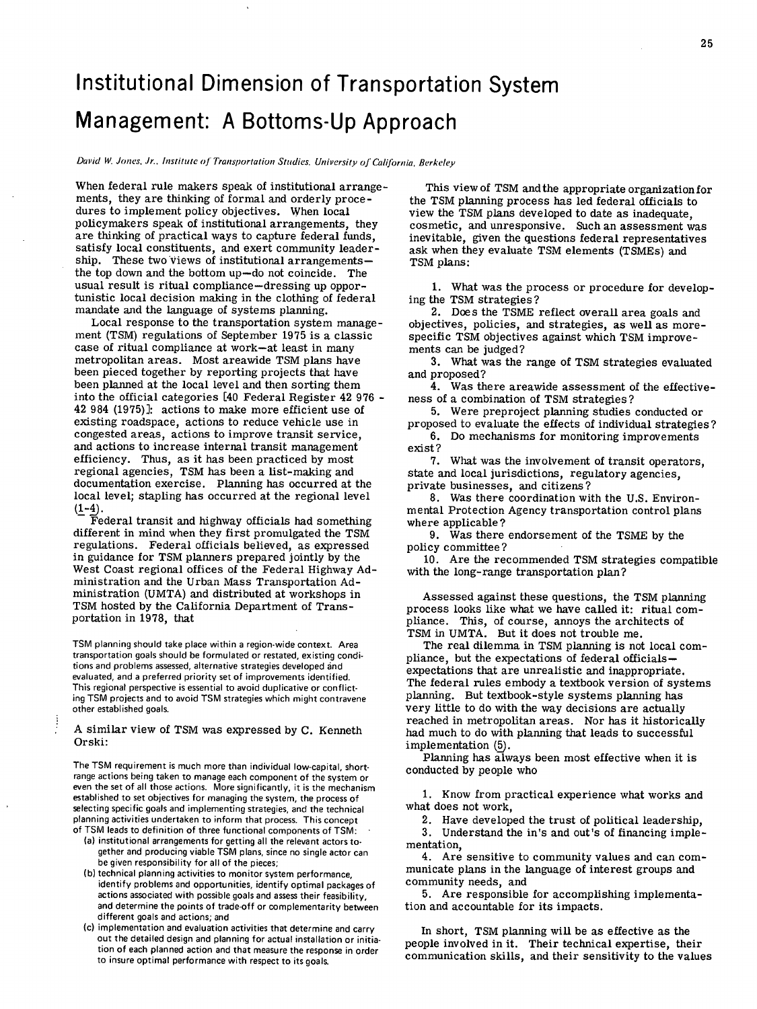## Institutional Dimension of Transportation System Management: A Bottoms-Up Approach

Dai'id W. Jones. Jr.. Institute *of* Transportation Studies. Uni'crsity *of* california, Berkeley

When federal rule makers speak of institutional arrangements, they are thinking of formal and orderly procedures to implement policy objectives. When local policymakers speak of institutional arrangements, they are thinking of practical ways to capture federal funds, satisfy local constituents, and exert community leadership. These two views of institutional arrangements the top down and the bottom up—do not coincide. The usual result is ritual compliance—dressing up opportunistic local decision making in the clothing of federal mandate and the language of systems planning.

Local response to the transportation system management (TSM) regulations of September 1975 is a classic case of ritual compliance at work—at least in many metropolitan areas. Most areawide TSM plans have been pieced together by reporting projects that have been planned at the local level and then sorting them into the official categories [40 Federal Register 42 976 - 42 984 (1975)1: actions to make more efficient use of existing roadspace, actions to reduce vehicle use in congested areas, actions to improve transit service, and actions to increase internal transit management efficiency. Thus, as it has been practiced by most regional agencies, TSM has been a list-making and documentation exercise. Planning has occurred at the local level; stapling has occurred at the regional level  $(1-4)$ .

Federal transit and highway officials had something different in mind when they first promulgated the TSM regulations. Federal officials believed, as expressed in guidance for TSM planners prepared jointly by the West Coast regional offices of the Federal Highway Administration and the Urban Mass Transportation Administration (UMTA) and distributed at workshops in TSM hosted by the California Department of Transportation in 1978, that

TSM planning should take place within a region-wide context. Area transportation goals should be formulated or restated, existing conditions and problems assessed, alternative strategies developed and evaluated, and a preferred priority set of improvements identified. This regional perspective is essential to avoid duplicative or conflicting TSM projects and to avoid TSM strategies which might contravene other established goals.

## A similar view of TSM was expressed by C. Kenneth Orski:

The TSM requirement is much more than individual low-capital, shortrange actions being taken to manage each component of the system or even the set of all those actions. More significantly, it is the mechanism established to set objectives for managing the system, the process of selecting specific goals and implementing strategies, and the technical planning activities undertaken to inform that process. This concept of TSM leads to definition of three functional components of TSM:

- (a) institutional arrangements for getting all the relevant actors together and producing viable TSM plans, since no single actor can be given responsibility for all of the pieces;
- (b) technical planning activities to monitor system performance, identify problems and opportunities, identify Optimal packages of actions associated with possible goals and assess their feasibility, and determine the points of trade-off or complementarity between different goals and actions; and
- (c) implementation and evaluation activities that determine and carry Out the detailed design and planning for actual installation or initiation of each planned action and that measure the response in order to insure optimal performance with respect to its goals.

This view of TSM and the appropriate organization for the TSM planning process has led federal officials to view the TSM plans developed to date as inadequate, cosmetic, and unresponsive. Such an assessment was inevitable, given the questions federal representatives ask when they evaluate TSM elements (TSMEs) and TSM plans:

What was the process or procedure for developing the TSM strategies?

Does the TSME reflect overall area goals and objectives, policies, and strategies, as well as morespecific TSM objectives against which TSM improvements can be judged?

What was the range of TSM strategies evaluated and proposed?

Was there areawide assessment of the effectiveness of a combination of TSM strategies?

Were preproject planning studies conducted or proposed to evaluate the effects of individual strategies?

6. Do mechanisms for monitoring improvements exist?

What was the involvement of transit operators, state and local jurisdictions, regulatory agencies, private businesses, and citizens?

Was there coordination with the U.S. Environmental Protection Agency transportation control plans where applicable?

Was there endorsement of the TSME by the policy committee?

Are the recommended TSM strategies compatible with the long-range transportation plan?

Assessed against these questions, the TSM planning process looks like what we have called it: ritual compliance. This, of course, annoys the architects of TSM in UMTA. But it does not trouble me.

The real dilemma in TSM planning is not local compliance, but the expectations of federal officials expectations that are unrealistic and inappropriate. The federal rules embody a textbook version of systems planning. But textbook-style systems planning has very little to do with the way decisions are actually reached in metropolitan areas. Nor has it historically had much to do with planning that leads to successful implementation (5).

Planning has always been most effective when it is conducted by people who

1. Know from practical experience what works and what does not work,

2. Have developed the trust of political leadership,

Understand the in's and out's of financing implementation,

Are sensitive to community values and can communicate plans in the language of interest groups and community needs, and

Are responsible for accomplishing implementation and accountable for its impacts.

In short, TSM planning will be as effective as the people involved in it. Their technical expertise, their communication skills, and their sensitivity to the values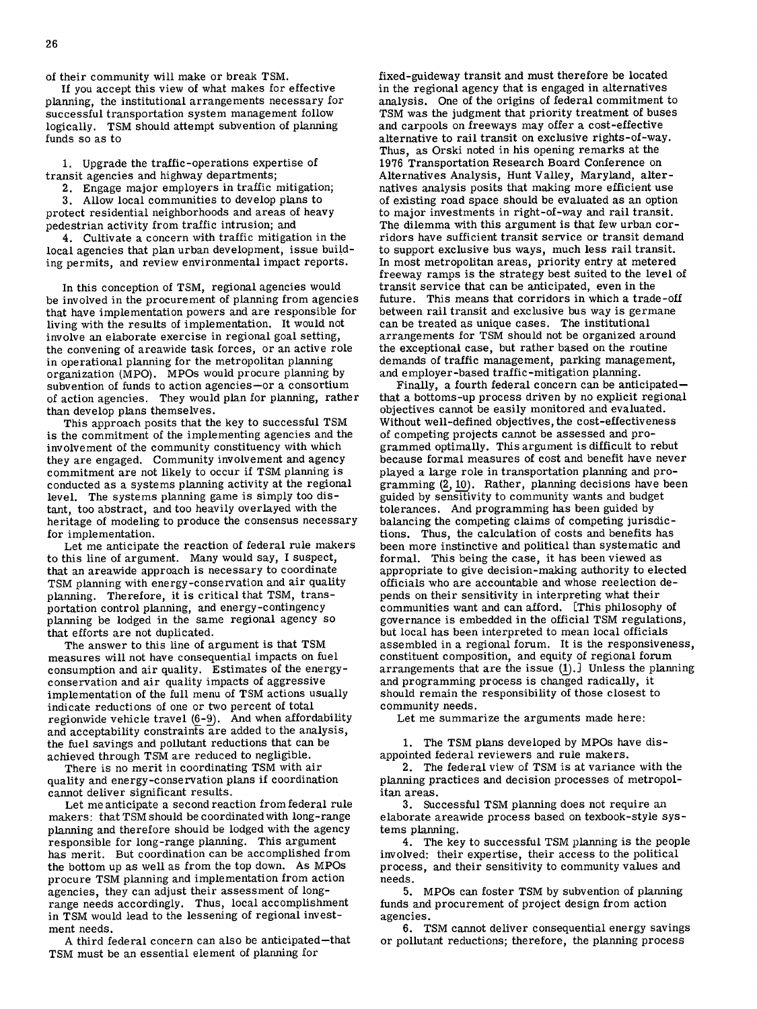of their community will make or break TSM.

If you accept this view of what makes for effective planning, the institutional arrangements necessary for successful transportation system management follow logically. TSM should attempt subvention of planning funds so as to

Upgrade the traffic -operations expertise of transit agencies and highway departments;

Engage major employers in traffic mitigation;

Allow local communities to develop plans to protect residential neighborhoods and areas of heavy pedestrian activity from traffic intrusion; and

Cultivate a concern with traffic mitigation in the local agencies that plan urban development, issue building permits, and review environmental impact reports.

In this conception of TSM, regional agencies would be involved in the procurement of planning from agencies that have implementation powers and are responsible for living with the results of implementation. It would not involve an elaborate exercise in regional goal setting, the convening of areawide task forces, or an active role in operational planning for the metropolitan planning organization (MPO). MPOs would procure planning by subvention of funds to action agencies—or a consortium of action agencies. They would plan for planning, rather than develop plans themselves.

This approach posits that the key to successful TSM is the commitment of the implementing agencies and the involvement of the community constituency with which they are engaged. Community involvement and agency commitment are not likely to occur if TSM planning is conducted as a systems planning activity at the regional level. The systems planning game is simply too distant, too abstract, and too heavily overlayed with the heritage of modeling to produce the consensus necessary for implementation.

Let me anticipate the reaction of federal rule makers to this line of argument. Many would say, I suspect, that an areawide approach is necessary to coordinate TSM planning with energy-conservation and air quality planning. Therefore, it is critical that TSM, transportation control planning, and energy-contingency planning be lodged in the same regional agency so that efforts are not duplicated.

The answer to this line of argument is that TSM measures will not have consequential impacts on fuel consumption and air quality. Estimates of the energyconservation and air quality impacts of aggressive implementation of the full menu of TSM actions usually indicate reductions of one or two percent of total regionwide vehicle travel  $(6-9)$ . And when affordability and acceptability constraints are added to the analysis, the fuel savings and pollutant reductions that can be achieved through TSM are reduced to negligible.

There is no merit in coordinating TSM with air quality and energy-conservation plans if coordination cannot deliver significant results.

Let me anticipate a second reaction from federal rule makers: that TSM should be coordinated with long-range planning and therefore should be lodged with the agency responsible for long-range planning. This argument has merit. But coordination can be accomplished from the bottom up as well as from the top down. As MPOs procure TSM planning and implementation from action agencies, they can adjust their assessment of longrange needs accordingly. Thus, local accomplishment in TSM would lead to the lessening of regional investment needs.

A third federal concern can also be anticipated —that TSM must be an essential element of planning for

fixed-guideway transit and must therefore be located in the regional agency that is engaged in alternatives analysis. One of the origins of federal commitment to TSM was the judgment that priority treatment of buses and carpools on freeways may offer a cost-effective alternative to rail transit on exclusive rights-of-way. Thus, as Orski noted in his opening remarks at the 1976 Transportation Research Board Conference on Alternatives Analysis, Hunt Valley, Maryland, alternatives analysis posits that making more efficient use of existing road space should be evaluated as an option to major investments in right-of-way and rail transit. The dilemma with this argument is that few urban corridors have sufficient transit service or transit demand to support exclusive bus ways, much less rail transit. In most metropolitan areas, priority entry at metered freeway ramps is the strategy best suited to the level of transit service that can be anticipated, even in the future. This means that corridors in which a trade-off between rail transit and exclusive bus way is germane can be treated as unique cases. The institutional arrangements for TSM should not be organized around the exceptional case, but rather based on the routine demands of traffic management, parking management, and employer-based traffic-mitigation planning.

Finally, a fourth federal concern can be anticipated that a bottoms-up process driven by no explicit regional objectives cannot be easily monitored and evaluated. Without well-defined objectives, the cost-effectiveness of competing projects cannot be assessed and programmed optimally. This argument is difficult to rebut because formal measures of cost and benefit have never played a large role in transportation planning and programming  $(2, 10)$ . Rather, planning decisions have been guided by sensitivity to community wants and budget tolerances. And programming has been guided by balancing the competing claims of competing jurisdictions. Thus, the calculation of costs and benefits has been more instinctive and political than systematic and formal. This being the case, it has been viewed as appropriate to give decision-making authority to elected officials who are accountable and whose reelection depends on their sensitivity in interpreting what their communities want and can afford. [This philosophy of governance is embedded in the official TSM regulations, but local has been interpreted to mean local officials assembled in a regional forum. It is the responsiveness, constituent composition, and equity of regional forum arrangements that are the issue  $(1)$ . Unless the planning and programming process is changed radically, it should remain the responsibility of those closest to community needs.

Let me summarize the arguments made here:

1. The TSM plans developed by MPOs have disappointed federal reviewers and rule makers.

2. The federal view of TSM is at variance with the planning practices and decision processes of metropolitan areas.

3. Successful TSM planning does not require an elaborate areawide process based on texbook-style systems planning.

The key to successful TSM planning is the people involved: their expertise, their access to the political process, and their sensitivity to community values and needs.

MPOs can foster TSM by subvention of planning funds and procurement of project design from action agencies.

TSM cannot deliver consequential energy savings or pollutant reductions; therefore, the planning process